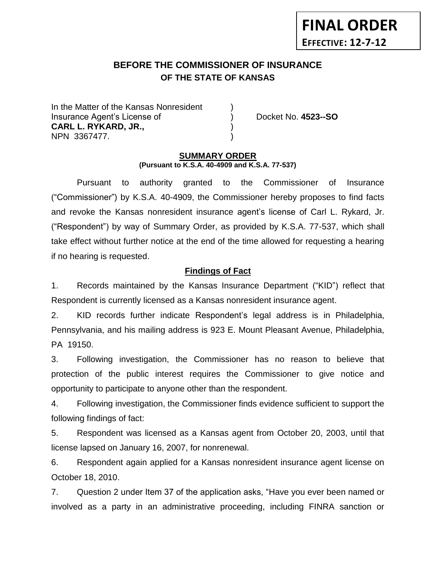# **BEFORE THE COMMISSIONER OF INSURANCE** *-12***OF THE STATE OF KANSAS**

In the Matter of the Kansas Nonresident Insurance Agent's License of ) Docket No. **4523--SO CARL L. RYKARD, JR.,** ) NPN 3367477.

**FINAL ORDER**

**EFFECTIVE: 12-7-12**

#### **SUMMARY ORDER (Pursuant to K.S.A. 40-4909 and K.S.A. 77-537)**

Pursuant to authority granted to the Commissioner of Insurance ("Commissioner") by K.S.A. 40-4909, the Commissioner hereby proposes to find facts and revoke the Kansas nonresident insurance agent's license of Carl L. Rykard, Jr. ("Respondent") by way of Summary Order, as provided by K.S.A. 77-537, which shall take effect without further notice at the end of the time allowed for requesting a hearing if no hearing is requested.

## **Findings of Fact**

1. Records maintained by the Kansas Insurance Department ("KID") reflect that Respondent is currently licensed as a Kansas nonresident insurance agent.

2. KID records further indicate Respondent's legal address is in Philadelphia, Pennsylvania, and his mailing address is 923 E. Mount Pleasant Avenue, Philadelphia, PA 19150.

3. Following investigation, the Commissioner has no reason to believe that protection of the public interest requires the Commissioner to give notice and opportunity to participate to anyone other than the respondent.

4. Following investigation, the Commissioner finds evidence sufficient to support the following findings of fact:

5. Respondent was licensed as a Kansas agent from October 20, 2003, until that license lapsed on January 16, 2007, for nonrenewal.

6. Respondent again applied for a Kansas nonresident insurance agent license on October 18, 2010.

7. Question 2 under Item 37 of the application asks, "Have you ever been named or involved as a party in an administrative proceeding, including FINRA sanction or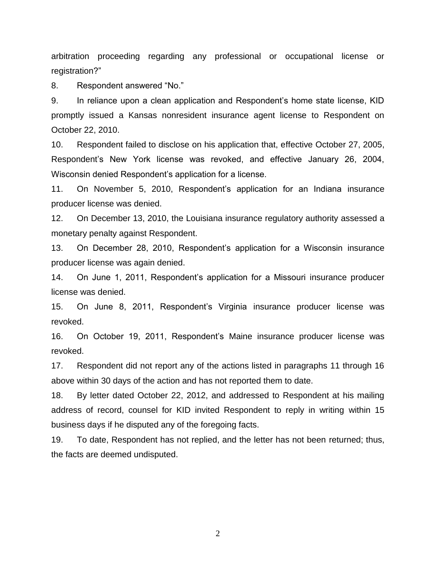arbitration proceeding regarding any professional or occupational license or registration?"

8. Respondent answered "No."

9. In reliance upon a clean application and Respondent's home state license, KID promptly issued a Kansas nonresident insurance agent license to Respondent on October 22, 2010.

10. Respondent failed to disclose on his application that, effective October 27, 2005, Respondent's New York license was revoked, and effective January 26, 2004, Wisconsin denied Respondent's application for a license.

11. On November 5, 2010, Respondent's application for an Indiana insurance producer license was denied.

12. On December 13, 2010, the Louisiana insurance regulatory authority assessed a monetary penalty against Respondent.

13. On December 28, 2010, Respondent's application for a Wisconsin insurance producer license was again denied.

14. On June 1, 2011, Respondent's application for a Missouri insurance producer license was denied.

15. On June 8, 2011, Respondent's Virginia insurance producer license was revoked.

16. On October 19, 2011, Respondent's Maine insurance producer license was revoked.

17. Respondent did not report any of the actions listed in paragraphs 11 through 16 above within 30 days of the action and has not reported them to date.

18. By letter dated October 22, 2012, and addressed to Respondent at his mailing address of record, counsel for KID invited Respondent to reply in writing within 15 business days if he disputed any of the foregoing facts.

19. To date, Respondent has not replied, and the letter has not been returned; thus, the facts are deemed undisputed.

2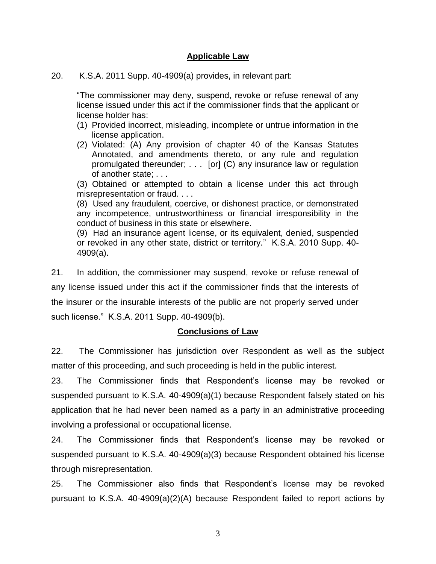## **Applicable Law**

20. K.S.A. 2011 Supp. 40-4909(a) provides, in relevant part:

"The commissioner may deny, suspend, revoke or refuse renewal of any license issued under this act if the commissioner finds that the applicant or license holder has:

- (1) Provided incorrect, misleading, incomplete or untrue information in the license application.
- (2) Violated: (A) Any provision of chapter 40 of the Kansas Statutes Annotated, and amendments thereto, or any rule and regulation promulgated thereunder; . . . [or] (C) any insurance law or regulation of another state; . . .

(3) Obtained or attempted to obtain a license under this act through misrepresentation or fraud. . . .

(8) Used any fraudulent, coercive, or dishonest practice, or demonstrated any incompetence, untrustworthiness or financial irresponsibility in the conduct of business in this state or elsewhere.

(9) Had an insurance agent license, or its equivalent, denied, suspended or revoked in any other state, district or territory." K.S.A. 2010 Supp. 40- 4909(a).

21. In addition, the commissioner may suspend, revoke or refuse renewal of any license issued under this act if the commissioner finds that the interests of the insurer or the insurable interests of the public are not properly served under such license." K.S.A. 2011 Supp. 40-4909(b).

## **Conclusions of Law**

22. The Commissioner has jurisdiction over Respondent as well as the subject matter of this proceeding, and such proceeding is held in the public interest.

23. The Commissioner finds that Respondent's license may be revoked or suspended pursuant to K.S.A. 40-4909(a)(1) because Respondent falsely stated on his application that he had never been named as a party in an administrative proceeding involving a professional or occupational license.

24. The Commissioner finds that Respondent's license may be revoked or suspended pursuant to K.S.A. 40-4909(a)(3) because Respondent obtained his license through misrepresentation.

25. The Commissioner also finds that Respondent's license may be revoked pursuant to K.S.A. 40-4909(a)(2)(A) because Respondent failed to report actions by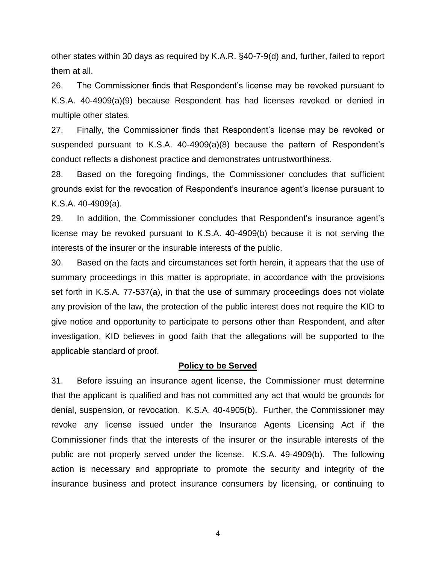other states within 30 days as required by K.A.R. §40-7-9(d) and, further, failed to report them at all.

26. The Commissioner finds that Respondent's license may be revoked pursuant to K.S.A. 40-4909(a)(9) because Respondent has had licenses revoked or denied in multiple other states.

27. Finally, the Commissioner finds that Respondent's license may be revoked or suspended pursuant to K.S.A. 40-4909(a)(8) because the pattern of Respondent's conduct reflects a dishonest practice and demonstrates untrustworthiness.

28. Based on the foregoing findings, the Commissioner concludes that sufficient grounds exist for the revocation of Respondent's insurance agent's license pursuant to K.S.A. 40-4909(a).

29. In addition, the Commissioner concludes that Respondent's insurance agent's license may be revoked pursuant to K.S.A. 40-4909(b) because it is not serving the interests of the insurer or the insurable interests of the public.

30. Based on the facts and circumstances set forth herein, it appears that the use of summary proceedings in this matter is appropriate, in accordance with the provisions set forth in K.S.A. 77-537(a), in that the use of summary proceedings does not violate any provision of the law, the protection of the public interest does not require the KID to give notice and opportunity to participate to persons other than Respondent, and after investigation, KID believes in good faith that the allegations will be supported to the applicable standard of proof.

## **Policy to be Served**

31. Before issuing an insurance agent license, the Commissioner must determine that the applicant is qualified and has not committed any act that would be grounds for denial, suspension, or revocation. K.S.A. 40-4905(b). Further, the Commissioner may revoke any license issued under the Insurance Agents Licensing Act if the Commissioner finds that the interests of the insurer or the insurable interests of the public are not properly served under the license. K.S.A. 49-4909(b). The following action is necessary and appropriate to promote the security and integrity of the insurance business and protect insurance consumers by licensing, or continuing to

4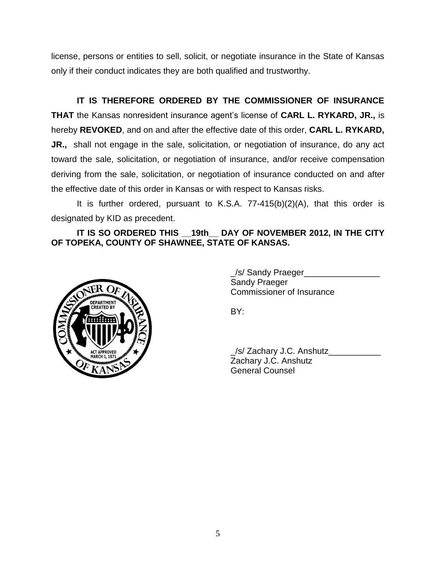license, persons or entities to sell, solicit, or negotiate insurance in the State of Kansas only if their conduct indicates they are both qualified and trustworthy.

**IT IS THEREFORE ORDERED BY THE COMMISSIONER OF INSURANCE THAT** the Kansas nonresident insurance agent's license of **CARL L. RYKARD, JR.,** is hereby **REVOKED**, and on and after the effective date of this order, **CARL L. RYKARD, JR.,** shall not engage in the sale, solicitation, or negotiation of insurance, do any act toward the sale, solicitation, or negotiation of insurance, and/or receive compensation deriving from the sale, solicitation, or negotiation of insurance conducted on and after the effective date of this order in Kansas or with respect to Kansas risks.

It is further ordered, pursuant to K.S.A. 77-415(b)(2)(A), that this order is designated by KID as precedent.

## **IT IS SO ORDERED THIS \_\_19th\_\_ DAY OF NOVEMBER 2012, IN THE CITY OF TOPEKA, COUNTY OF SHAWNEE, STATE OF KANSAS.**



\_/s/ Sandy Praeger\_\_\_\_\_\_\_\_\_\_\_\_\_\_\_\_ Sandy Praeger Commissioner of Insurance

BY:

\_/s/ Zachary J.C. Anshutz\_\_\_\_\_\_\_\_\_\_\_ Zachary J.C. Anshutz General Counsel